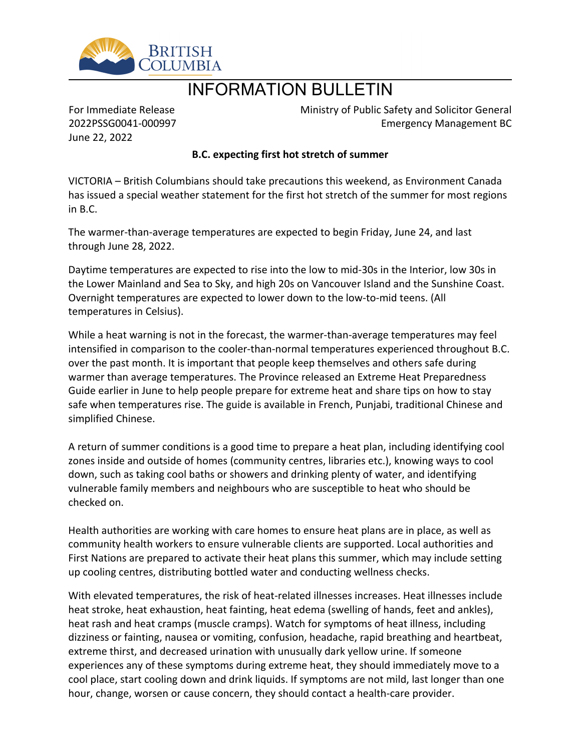

## INFORMATION BULLETIN

For Immediate Release 2022PSSG0041-000997 June 22, 2022

Ministry of Public Safety and Solicitor General Emergency Management BC

## **B.C. expecting first hot stretch of summer**

VICTORIA – British Columbians should take precautions this weekend, as Environment Canada has issued a special weather statement for the first hot stretch of the summer for most regions in B.C.

The warmer-than-average temperatures are expected to begin Friday, June 24, and last through June 28, 2022.

Daytime temperatures are expected to rise into the low to mid-30s in the Interior, low 30s in the Lower Mainland and Sea to Sky, and high 20s on Vancouver Island and the Sunshine Coast. Overnight temperatures are expected to lower down to the low-to-mid teens. (All temperatures in Celsius).

While a heat warning is not in the forecast, the warmer-than-average temperatures may feel intensified in comparison to the cooler-than-normal temperatures experienced throughout B.C. over the past month. It is important that people keep themselves and others safe during warmer than average temperatures. The Province released an Extreme Heat Preparedness Guide earlier in June to help people prepare for extreme heat and share tips on how to stay safe when temperatures rise. The guide is available in French, Punjabi, traditional Chinese and simplified Chinese.

A return of summer conditions is a good time to prepare a heat plan, including identifying cool zones inside and outside of homes (community centres, libraries etc.), knowing ways to cool down, such as taking cool baths or showers and drinking plenty of water, and identifying vulnerable family members and neighbours who are susceptible to heat who should be checked on.

Health authorities are working with care homes to ensure heat plans are in place, as well as community health workers to ensure vulnerable clients are supported. Local authorities and First Nations are prepared to activate their heat plans this summer, which may include setting up cooling centres, distributing bottled water and conducting wellness checks.

With elevated temperatures, the risk of heat-related illnesses increases. Heat illnesses include heat stroke, heat exhaustion, heat fainting, heat edema (swelling of hands, feet and ankles), heat rash and heat cramps (muscle cramps). Watch for symptoms of heat illness, including dizziness or fainting, nausea or vomiting, confusion, headache, rapid breathing and heartbeat, extreme thirst, and decreased urination with unusually dark yellow urine. If someone experiences any of these symptoms during extreme heat, they should immediately move to a cool place, start cooling down and drink liquids. If symptoms are not mild, last longer than one hour, change, worsen or cause concern, they should contact a health-care provider.